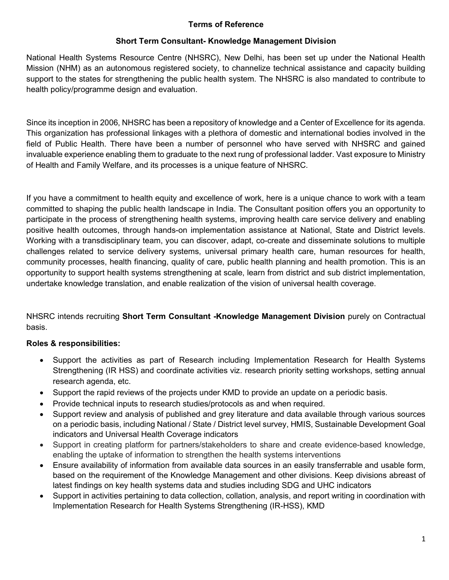## Terms of Reference

## Short Term Consultant- Knowledge Management Division

National Health Systems Resource Centre (NHSRC), New Delhi, has been set up under the National Health Mission (NHM) as an autonomous registered society, to channelize technical assistance and capacity building support to the states for strengthening the public health system. The NHSRC is also mandated to contribute to health policy/programme design and evaluation.

Since its inception in 2006, NHSRC has been a repository of knowledge and a Center of Excellence for its agenda. This organization has professional linkages with a plethora of domestic and international bodies involved in the field of Public Health. There have been a number of personnel who have served with NHSRC and gained invaluable experience enabling them to graduate to the next rung of professional ladder. Vast exposure to Ministry of Health and Family Welfare, and its processes is a unique feature of NHSRC.

If you have a commitment to health equity and excellence of work, here is a unique chance to work with a team committed to shaping the public health landscape in India. The Consultant position offers you an opportunity to participate in the process of strengthening health systems, improving health care service delivery and enabling positive health outcomes, through hands-on implementation assistance at National, State and District levels. Working with a transdisciplinary team, you can discover, adapt, co-create and disseminate solutions to multiple challenges related to service delivery systems, universal primary health care, human resources for health, community processes, health financing, quality of care, public health planning and health promotion. This is an opportunity to support health systems strengthening at scale, learn from district and sub district implementation, undertake knowledge translation, and enable realization of the vision of universal health coverage.

NHSRC intends recruiting Short Term Consultant -Knowledge Management Division purely on Contractual basis.

# Roles & responsibilities:

- Support the activities as part of Research including Implementation Research for Health Systems Strengthening (IR HSS) and coordinate activities viz. research priority setting workshops, setting annual research agenda, etc.
- Support the rapid reviews of the projects under KMD to provide an update on a periodic basis.
- Provide technical inputs to research studies/protocols as and when required.
- Support review and analysis of published and grey literature and data available through various sources on a periodic basis, including National / State / District level survey, HMIS, Sustainable Development Goal indicators and Universal Health Coverage indicators
- Support in creating platform for partners/stakeholders to share and create evidence-based knowledge, enabling the uptake of information to strengthen the health systems interventions
- Ensure availability of information from available data sources in an easily transferrable and usable form, based on the requirement of the Knowledge Management and other divisions. Keep divisions abreast of latest findings on key health systems data and studies including SDG and UHC indicators
- Support in activities pertaining to data collection, collation, analysis, and report writing in coordination with Implementation Research for Health Systems Strengthening (IR-HSS), KMD